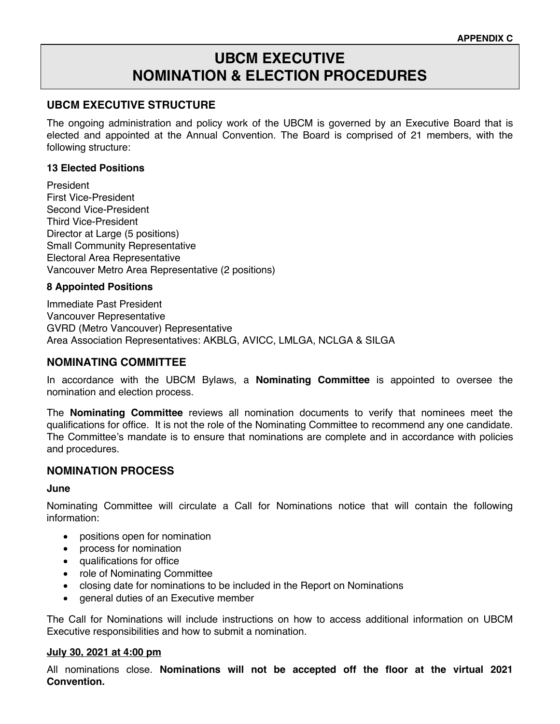# **UBCM EXECUTIVE NOMINATION & ELECTION PROCEDURES**

## **UBCM EXECUTIVE STRUCTURE**

The ongoing administration and policy work of the UBCM is governed by an Executive Board that is elected and appointed at the Annual Convention. The Board is comprised of 21 members, with the following structure:

#### **13 Elected Positions**

President First Vice-President Second Vice-President Third Vice-President Director at Large (5 positions) Small Community Representative Electoral Area Representative Vancouver Metro Area Representative (2 positions)

#### **8 Appointed Positions**

Immediate Past President Vancouver Representative GVRD (Metro Vancouver) Representative Area Association Representatives: AKBLG, AVICC, LMLGA, NCLGA & SILGA

## **NOMINATING COMMITTEE**

In accordance with the UBCM Bylaws, a **Nominating Committee** is appointed to oversee the nomination and election process.

The **Nominating Committee** reviews all nomination documents to verify that nominees meet the qualifications for office. It is not the role of the Nominating Committee to recommend any one candidate. The Committee's mandate is to ensure that nominations are complete and in accordance with policies and procedures.

## **NOMINATION PROCESS**

#### **June**

Nominating Committee will circulate a Call for Nominations notice that will contain the following information:

- positions open for nomination
- process for nomination
- qualifications for office
- role of Nominating Committee
- closing date for nominations to be included in the Report on Nominations
- general duties of an Executive member

The Call for Nominations will include instructions on how to access additional information on UBCM Executive responsibilities and how to submit a nomination.

#### **July 30, 2021 at 4:00 pm**

All nominations close. **Nominations will not be accepted off the floor at the virtual 2021 Convention.**